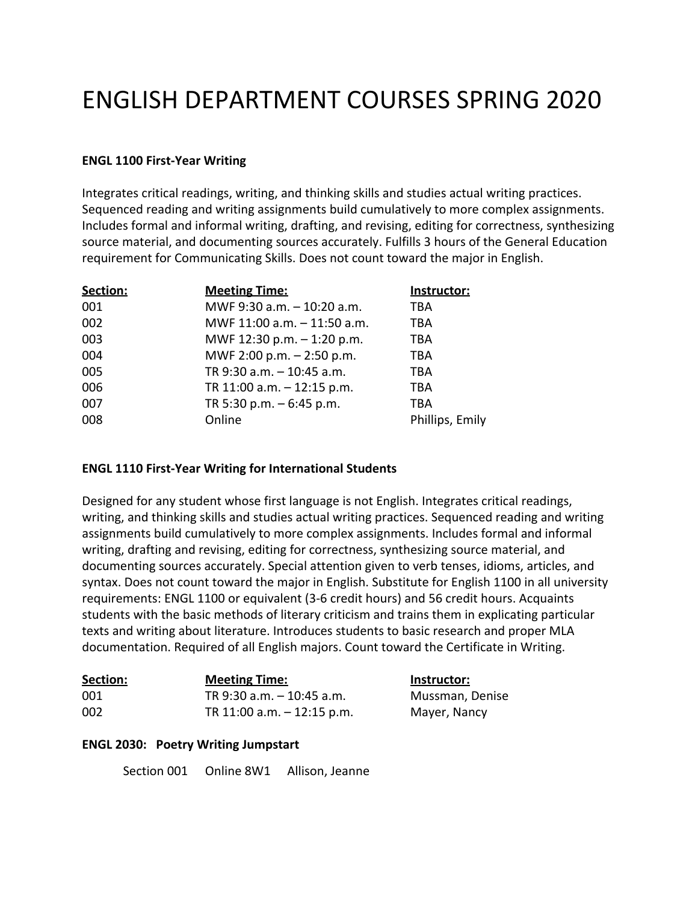# ENGLISH DEPARTMENT COURSES SPRING 2020

#### **ENGL 1100 First-Year Writing**

Integrates critical readings, writing, and thinking skills and studies actual writing practices. Sequenced reading and writing assignments build cumulatively to more complex assignments. Includes formal and informal writing, drafting, and revising, editing for correctness, synthesizing source material, and documenting sources accurately. Fulfills 3 hours of the General Education requirement for Communicating Skills. Does not count toward the major in English.

| Section: | <b>Meeting Time:</b>         | Instructor:     |
|----------|------------------------------|-----------------|
| 001      | MWF 9:30 a.m. - 10:20 a.m.   | TBA             |
| 002      | MWF 11:00 a.m. - 11:50 a.m.  | TBA             |
| 003      | MWF 12:30 p.m. - 1:20 p.m.   | TBA             |
| 004      | MWF 2:00 p.m. - 2:50 p.m.    | TBA             |
| 005      | TR 9:30 a.m. - 10:45 a.m.    | TBA             |
| 006      | TR 11:00 a.m. $-$ 12:15 p.m. | TBA             |
| 007      | TR 5:30 p.m. $-6:45$ p.m.    | TBA             |
| 008      | Online                       | Phillips, Emily |

#### **ENGL 1110 First-Year Writing for International Students**

Designed for any student whose first language is not English. Integrates critical readings, writing, and thinking skills and studies actual writing practices. Sequenced reading and writing assignments build cumulatively to more complex assignments. Includes formal and informal writing, drafting and revising, editing for correctness, synthesizing source material, and documenting sources accurately. Special attention given to verb tenses, idioms, articles, and syntax. Does not count toward the major in English. Substitute for English 1100 in all university requirements: ENGL 1100 or equivalent (3-6 credit hours) and 56 credit hours. Acquaints students with the basic methods of literary criticism and trains them in explicating particular texts and writing about literature. Introduces students to basic research and proper MLA documentation. Required of all English majors. Count toward the Certificate in Writing.

| Section: | <b>Meeting Time:</b>          | Instructor:     |
|----------|-------------------------------|-----------------|
| 001      | TR 9:30 a.m. - 10:45 a.m.     | Mussman, Denise |
| 002      | TR $11:00$ a.m. $-12:15$ p.m. | Mayer, Nancy    |

#### **ENGL 2030: Poetry Writing Jumpstart**

Section 001 Online 8W1 Allison, Jeanne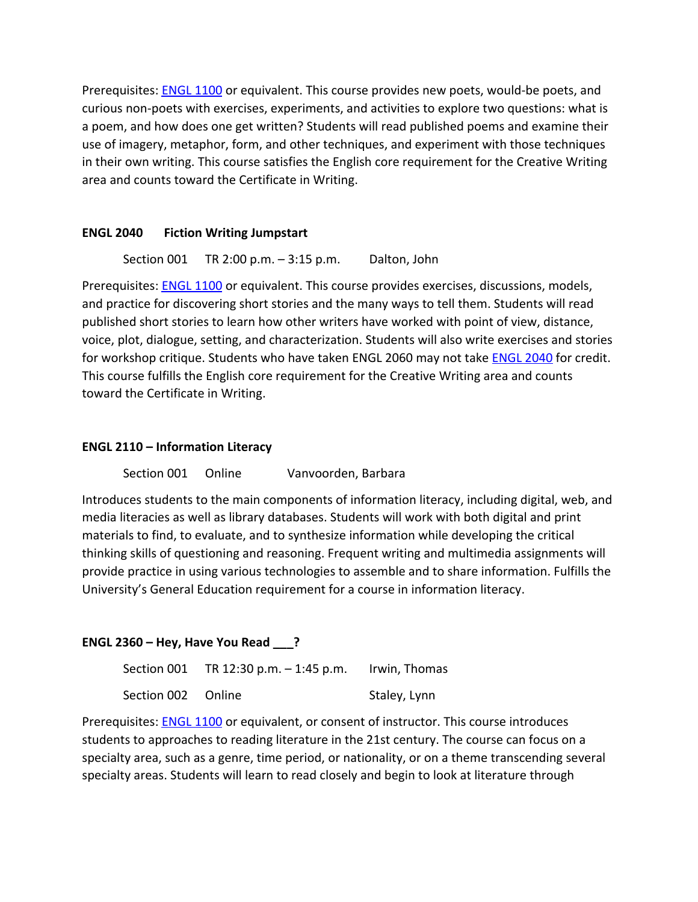Prerequisites: **[ENGL 1100](http://bulletin.umsl.edu/search/?P=ENGL%201100)** or equivalent. This course provides new poets, would-be poets, and curious non-poets with exercises, experiments, and activities to explore two questions: what is a poem, and how does one get written? Students will read published poems and examine their use of imagery, metaphor, form, and other techniques, and experiment with those techniques in their own writing. This course satisfies the English core requirement for the Creative Writing area and counts toward the Certificate in Writing.

## **ENGL 2040 Fiction Writing Jumpstart**

Section 001 TR 2:00 p.m. – 3:15 p.m. Dalton, John

Prerequisites: **[ENGL 1100](http://bulletin.umsl.edu/search/?P=ENGL%201100)** or equivalent. This course provides exercises, discussions, models, and practice for discovering short stories and the many ways to tell them. Students will read published short stories to learn how other writers have worked with point of view, distance, voice, plot, dialogue, setting, and characterization. Students will also write exercises and stories for workshop critique. Students who have taken ENGL 2060 may not take [ENGL 2040](http://bulletin.umsl.edu/search/?P=ENGL%202040) for credit. This course fulfills the English core requirement for the Creative Writing area and counts toward the Certificate in Writing.

## **ENGL 2110 – Information Literacy**

## Section 001 Online Vanvoorden, Barbara

Introduces students to the main components of information literacy, including digital, web, and media literacies as well as library databases. Students will work with both digital and print materials to find, to evaluate, and to synthesize information while developing the critical thinking skills of questioning and reasoning. Frequent writing and multimedia assignments will provide practice in using various technologies to assemble and to share information. Fulfills the University's General Education requirement for a course in information literacy.

## **ENGL 2360 – Hey, Have You Read \_\_\_?**

Section 001 TR 12:30 p.m. - 1:45 p.m. Irwin, Thomas Section 002 Online Staley, Lynn

Prerequisites: [ENGL 1100](http://bulletin.umsl.edu/search/?P=ENGL%201100) or equivalent, or consent of instructor. This course introduces students to approaches to reading literature in the 21st century. The course can focus on a specialty area, such as a genre, time period, or nationality, or on a theme transcending several specialty areas. Students will learn to read closely and begin to look at literature through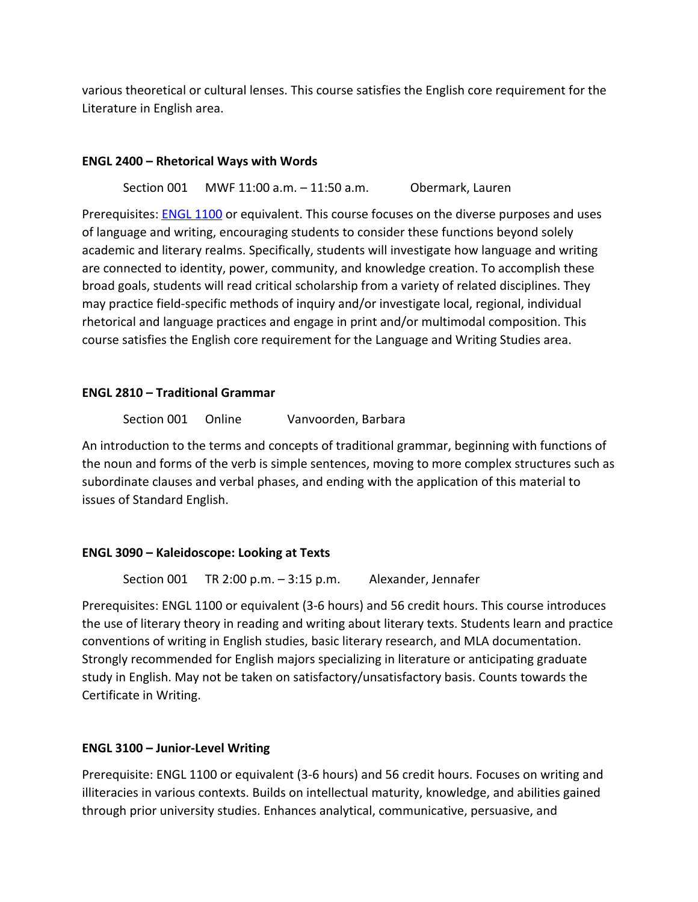various theoretical or cultural lenses. This course satisfies the English core requirement for the Literature in English area.

## **ENGL 2400 – Rhetorical Ways with Words**

Section 001 MWF 11:00 a.m. – 11:50 a.m. Obermark, Lauren

Prerequisites: [ENGL 1100](http://bulletin.umsl.edu/search/?P=ENGL%201100) or equivalent. This course focuses on the diverse purposes and uses of language and writing, encouraging students to consider these functions beyond solely academic and literary realms. Specifically, students will investigate how language and writing are connected to identity, power, community, and knowledge creation. To accomplish these broad goals, students will read critical scholarship from a variety of related disciplines. They may practice field-specific methods of inquiry and/or investigate local, regional, individual rhetorical and language practices and engage in print and/or multimodal composition. This course satisfies the English core requirement for the Language and Writing Studies area.

## **ENGL 2810 – Traditional Grammar**

Section 001 Online Vanvoorden, Barbara

An introduction to the terms and concepts of traditional grammar, beginning with functions of the noun and forms of the verb is simple sentences, moving to more complex structures such as subordinate clauses and verbal phases, and ending with the application of this material to issues of Standard English.

# **ENGL 3090 – Kaleidoscope: Looking at Texts**

Section 001 TR 2:00 p.m. – 3:15 p.m. Alexander, Jennafer

Prerequisites: ENGL 1100 or equivalent (3-6 hours) and 56 credit hours. This course introduces the use of literary theory in reading and writing about literary texts. Students learn and practice conventions of writing in English studies, basic literary research, and MLA documentation. Strongly recommended for English majors specializing in literature or anticipating graduate study in English. May not be taken on satisfactory/unsatisfactory basis. Counts towards the Certificate in Writing.

# **ENGL 3100 – Junior-Level Writing**

Prerequisite: ENGL 1100 or equivalent (3-6 hours) and 56 credit hours. Focuses on writing and illiteracies in various contexts. Builds on intellectual maturity, knowledge, and abilities gained through prior university studies. Enhances analytical, communicative, persuasive, and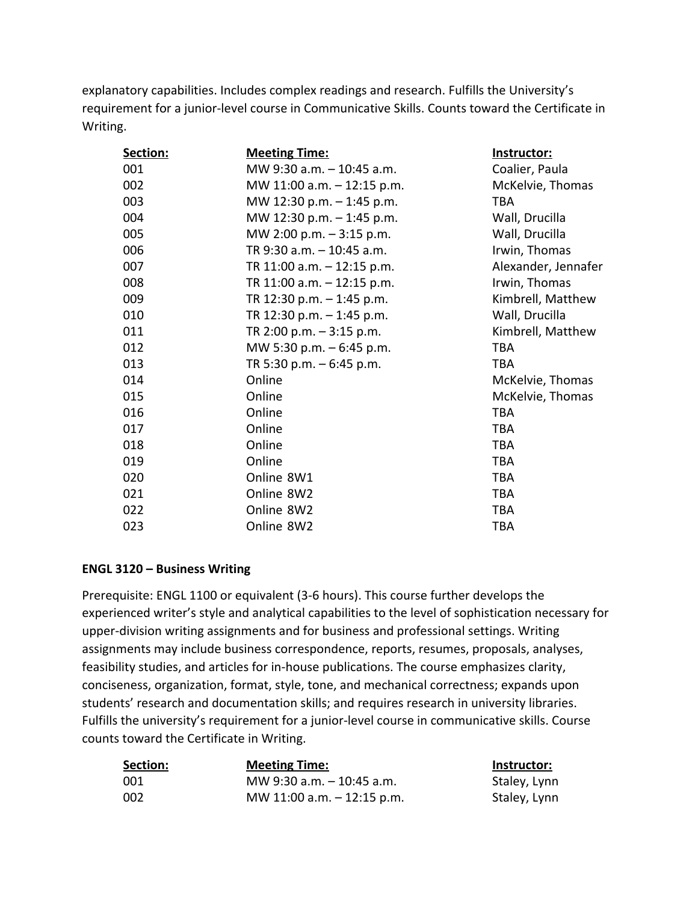explanatory capabilities. Includes complex readings and research. Fulfills the University's requirement for a junior-level course in Communicative Skills. Counts toward the Certificate in Writing.

| Section: | <b>Meeting Time:</b>          | Instructor:         |
|----------|-------------------------------|---------------------|
| 001      | MW 9:30 a.m. - 10:45 a.m.     | Coalier, Paula      |
| 002      | MW 11:00 a.m. - 12:15 p.m.    | McKelvie, Thomas    |
| 003      | MW 12:30 p.m. - 1:45 p.m.     | <b>TBA</b>          |
| 004      | MW 12:30 p.m. - 1:45 p.m.     | Wall, Drucilla      |
| 005      | MW 2:00 p.m. - 3:15 p.m.      | Wall, Drucilla      |
| 006      | TR 9:30 a.m. - 10:45 a.m.     | Irwin, Thomas       |
| 007      | TR $11:00$ a.m. $-12:15$ p.m. | Alexander, Jennafer |
| 008      | TR $11:00$ a.m. $-12:15$ p.m. | Irwin, Thomas       |
| 009      | TR 12:30 p.m. $-$ 1:45 p.m.   | Kimbrell, Matthew   |
| 010      | TR 12:30 p.m. - 1:45 p.m.     | Wall, Drucilla      |
| 011      | TR 2:00 p.m. $-3:15$ p.m.     | Kimbrell, Matthew   |
| 012      | MW 5:30 p.m. - 6:45 p.m.      | <b>TBA</b>          |
| 013      | TR 5:30 p.m. $-6:45$ p.m.     | <b>TBA</b>          |
| 014      | Online                        | McKelvie, Thomas    |
| 015      | Online                        | McKelvie, Thomas    |
| 016      | Online                        | <b>TBA</b>          |
| 017      | Online                        | <b>TBA</b>          |
| 018      | Online                        | <b>TBA</b>          |
| 019      | Online                        | <b>TBA</b>          |
| 020      | Online 8W1                    | <b>TBA</b>          |
| 021      | Online 8W2                    | <b>TBA</b>          |
| 022      | Online 8W2                    | <b>TBA</b>          |
| 023      | Online 8W2                    | TBA                 |

# **ENGL 3120 – Business Writing**

Prerequisite: ENGL 1100 or equivalent (3-6 hours). This course further develops the experienced writer's style and analytical capabilities to the level of sophistication necessary for upper-division writing assignments and for business and professional settings. Writing assignments may include business correspondence, reports, resumes, proposals, analyses, feasibility studies, and articles for in-house publications. The course emphasizes clarity, conciseness, organization, format, style, tone, and mechanical correctness; expands upon students' research and documentation skills; and requires research in university libraries. Fulfills the university's requirement for a junior-level course in communicative skills. Course counts toward the Certificate in Writing.

| Section: | <b>Meeting Time:</b>         | Instructor:  |
|----------|------------------------------|--------------|
| 001      | MW 9:30 a.m. $-$ 10:45 a.m.  | Staley, Lynn |
| 002      | MW 11:00 a.m. $-$ 12:15 p.m. | Staley, Lynn |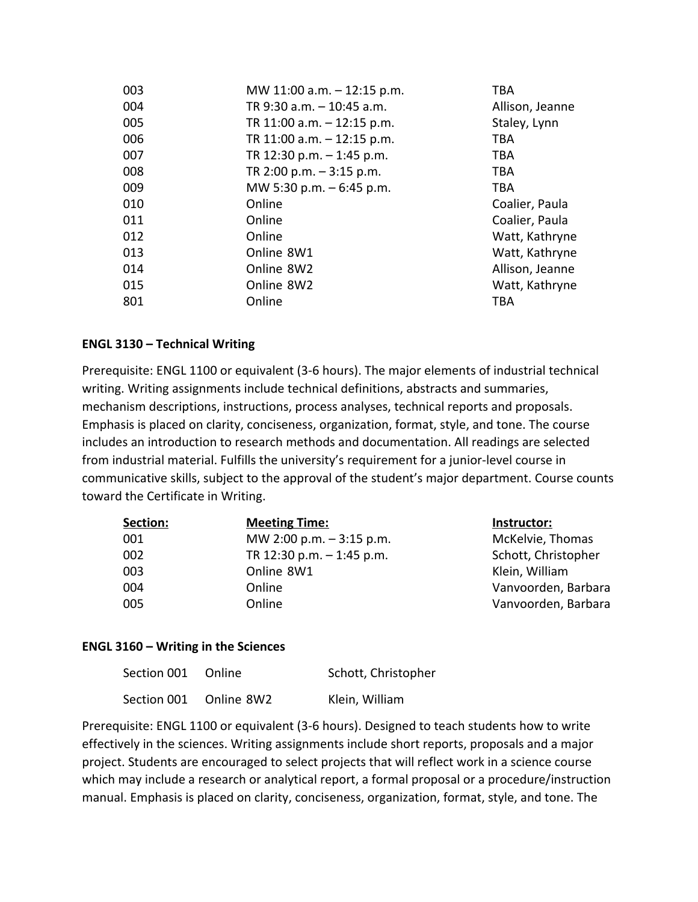| 003 | MW 11:00 a.m. - 12:15 p.m.   | <b>TBA</b>      |
|-----|------------------------------|-----------------|
| 004 | TR 9:30 a.m. - 10:45 a.m.    | Allison, Jeanne |
| 005 | TR 11:00 a.m. $-$ 12:15 p.m. | Staley, Lynn    |
| 006 | TR 11:00 a.m. - 12:15 p.m.   | TBA             |
| 007 | TR 12:30 p.m. $-$ 1:45 p.m.  | TBA             |
| 008 | TR 2:00 p.m. $-3:15$ p.m.    | TBA             |
| 009 | MW 5:30 p.m. - 6:45 p.m.     | TBA             |
| 010 | Online                       | Coalier, Paula  |
| 011 | Online                       | Coalier, Paula  |
| 012 | Online                       | Watt, Kathryne  |
| 013 | Online 8W1                   | Watt, Kathryne  |
| 014 | Online 8W2                   | Allison, Jeanne |
| 015 | Online 8W2                   | Watt, Kathryne  |
| 801 | Online                       | TBA             |

## **ENGL 3130 – Technical Writing**

Prerequisite: ENGL 1100 or equivalent (3-6 hours). The major elements of industrial technical writing. Writing assignments include technical definitions, abstracts and summaries, mechanism descriptions, instructions, process analyses, technical reports and proposals. Emphasis is placed on clarity, conciseness, organization, format, style, and tone. The course includes an introduction to research methods and documentation. All readings are selected from industrial material. Fulfills the university's requirement for a junior-level course in communicative skills, subject to the approval of the student's major department. Course counts toward the Certificate in Writing.

| Section: | <b>Meeting Time:</b>        | Instructor:         |
|----------|-----------------------------|---------------------|
| 001      | MW 2:00 p.m. $-3:15$ p.m.   | McKelvie, Thomas    |
| 002      | TR 12:30 p.m. $-$ 1:45 p.m. | Schott, Christopher |
| 003      | Online 8W1                  | Klein, William      |
| 004      | Online                      | Vanvoorden, Barbara |
| 005      | Online                      | Vanvoorden, Barbara |

## **ENGL 3160 – Writing in the Sciences**

| Section 001 Online     | Schott, Christopher |
|------------------------|---------------------|
| Section 001 Online 8W2 | Klein, William      |

Prerequisite: ENGL 1100 or equivalent (3-6 hours). Designed to teach students how to write effectively in the sciences. Writing assignments include short reports, proposals and a major project. Students are encouraged to select projects that will reflect work in a science course which may include a research or analytical report, a formal proposal or a procedure/instruction manual. Emphasis is placed on clarity, conciseness, organization, format, style, and tone. The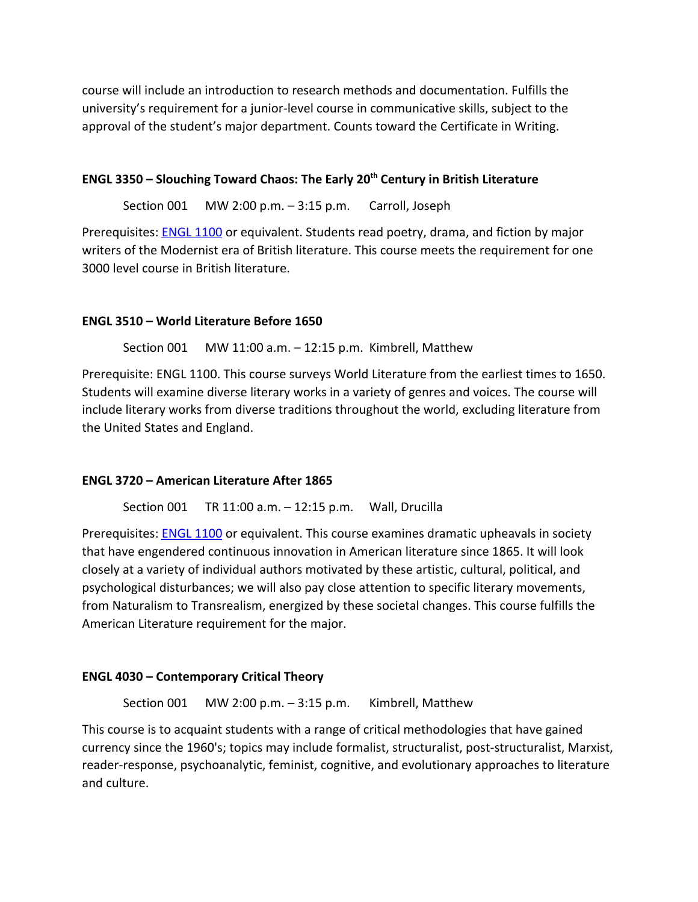course will include an introduction to research methods and documentation. Fulfills the university's requirement for a junior-level course in communicative skills, subject to the approval of the student's major department. Counts toward the Certificate in Writing.

## **ENGL 3350 – Slouching Toward Chaos: The Early 20th Century in British Literature**

Section 001 MW 2:00 p.m. – 3:15 p.m. Carroll, Joseph

Prerequisites: [ENGL 1100](http://bulletin.umsl.edu/search/?P=ENGL%201100) or equivalent. Students read poetry, drama, and fiction by major writers of the Modernist era of British literature. This course meets the requirement for one 3000 level course in British literature.

## **ENGL 3510 – World Literature Before 1650**

Section 001 MW 11:00 a.m. – 12:15 p.m. Kimbrell, Matthew

Prerequisite: ENGL 1100. This course surveys World Literature from the earliest times to 1650. Students will examine diverse literary works in a variety of genres and voices. The course will include literary works from diverse traditions throughout the world, excluding literature from the United States and England.

## **ENGL 3720 – American Literature After 1865**

Section 001 TR 11:00 a.m. – 12:15 p.m. Wall, Drucilla

Prerequisites: [ENGL 1100](http://bulletin.umsl.edu/search/?P=ENGL%201100) or equivalent. This course examines dramatic upheavals in society that have engendered continuous innovation in American literature since 1865. It will look closely at a variety of individual authors motivated by these artistic, cultural, political, and psychological disturbances; we will also pay close attention to specific literary movements, from Naturalism to Transrealism, energized by these societal changes. This course fulfills the American Literature requirement for the major.

## **ENGL 4030 – Contemporary Critical Theory**

Section 001 MW 2:00 p.m.  $-3:15$  p.m. Kimbrell, Matthew

This course is to acquaint students with a range of critical methodologies that have gained currency since the 1960's; topics may include formalist, structuralist, post-structuralist, Marxist, reader-response, psychoanalytic, feminist, cognitive, and evolutionary approaches to literature and culture.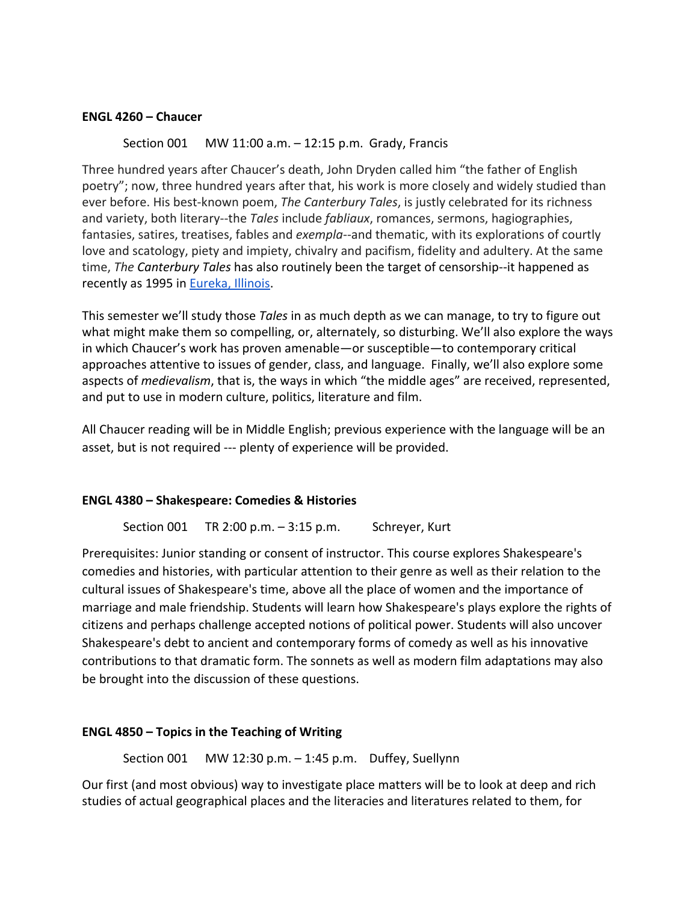#### **ENGL 4260 – Chaucer**

## Section 001 MW 11:00 a.m. – 12:15 p.m. Grady, Francis

Three hundred years after Chaucer's death, John Dryden called him "the father of English poetry"; now, three hundred years after that, his work is more closely and widely studied than ever before. His best-known poem, *The Canterbury Tales*, is justly celebrated for its richness and variety, both literary--the *Tales* include *fabliaux*, romances, sermons, hagiographies, fantasies, satires, treatises, fables and *exempla*--and thematic, with its explorations of courtly love and scatology, piety and impiety, chivalry and pacifism, fidelity and adultery. At the same time, *The Canterbury Tales* has also routinely been the target of censorship--it happened as recently as 1995 in [Eureka, Illinois.](http://www.umsl.edu/~gradyf/chaucer/eureka3.jpg)

This semester we'll study those *Tales* in as much depth as we can manage, to try to figure out what might make them so compelling, or, alternately, so disturbing. We'll also explore the ways in which Chaucer's work has proven amenable—or susceptible—to contemporary critical approaches attentive to issues of gender, class, and language. Finally, we'll also explore some aspects of *medievalism*, that is, the ways in which "the middle ages" are received, represented, and put to use in modern culture, politics, literature and film.

All Chaucer reading will be in Middle English; previous experience with the language will be an asset, but is not required --- plenty of experience will be provided.

## **ENGL 4380 – Shakespeare: Comedies & Histories**

Section 001 TR 2:00 p.m. - 3:15 p.m. Schreyer, Kurt

Prerequisites: Junior standing or consent of instructor. This course explores Shakespeare's comedies and histories, with particular attention to their genre as well as their relation to the cultural issues of Shakespeare's time, above all the place of women and the importance of marriage and male friendship. Students will learn how Shakespeare's plays explore the rights of citizens and perhaps challenge accepted notions of political power. Students will also uncover Shakespeare's debt to ancient and contemporary forms of comedy as well as his innovative contributions to that dramatic form. The sonnets as well as modern film adaptations may also be brought into the discussion of these questions.

## **ENGL 4850 – Topics in the Teaching of Writing**

Section 001 MW 12:30 p.m. – 1:45 p.m. Duffey, Suellynn

Our first (and most obvious) way to investigate place matters will be to look at deep and rich studies of actual geographical places and the literacies and literatures related to them, for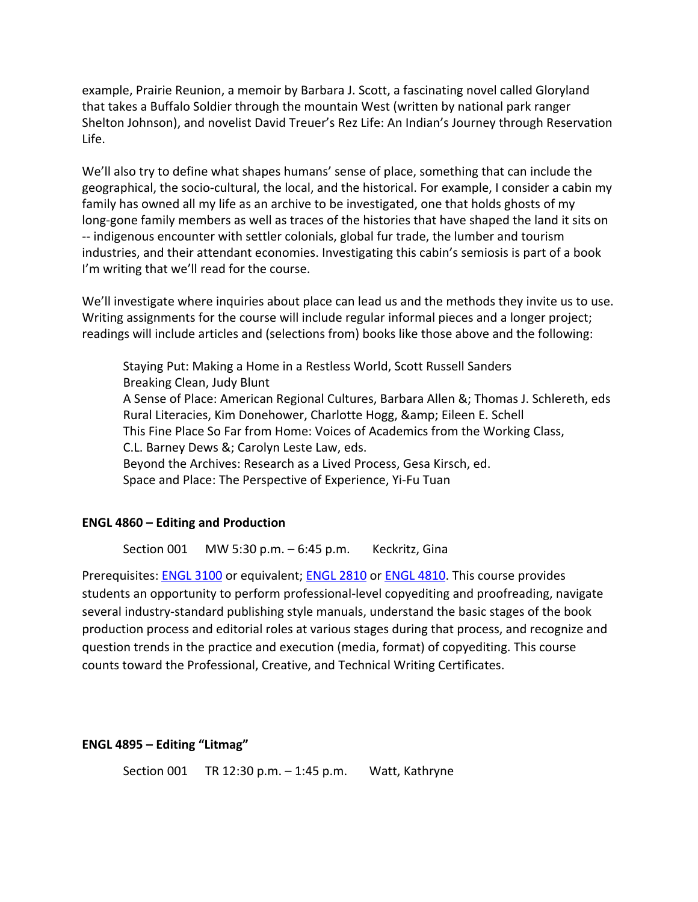example, Prairie Reunion, a memoir by Barbara J. Scott, a fascinating novel called Gloryland that takes a Buffalo Soldier through the mountain West (written by national park ranger Shelton Johnson), and novelist David Treuer's Rez Life: An Indian's Journey through Reservation Life.

We'll also try to define what shapes humans' sense of place, something that can include the geographical, the socio-cultural, the local, and the historical. For example, I consider a cabin my family has owned all my life as an archive to be investigated, one that holds ghosts of my long-gone family members as well as traces of the histories that have shaped the land it sits on -- indigenous encounter with settler colonials, global fur trade, the lumber and tourism industries, and their attendant economies. Investigating this cabin's semiosis is part of a book I'm writing that we'll read for the course.

We'll investigate where inquiries about place can lead us and the methods they invite us to use. Writing assignments for the course will include regular informal pieces and a longer project; readings will include articles and (selections from) books like those above and the following:

Staying Put: Making a Home in a Restless World, Scott Russell Sanders Breaking Clean, Judy Blunt A Sense of Place: American Regional Cultures, Barbara Allen &; Thomas J. Schlereth, eds Rural Literacies, Kim Donehower, Charlotte Hogg, & amp; Eileen E. Schell This Fine Place So Far from Home: Voices of Academics from the Working Class, C.L. Barney Dews &; Carolyn Leste Law, eds. Beyond the Archives: Research as a Lived Process, Gesa Kirsch, ed. Space and Place: The Perspective of Experience, Yi-Fu Tuan

#### **ENGL 4860 – Editing and Production**

Section 001 MW 5:30 p.m. – 6:45 p.m. Keckritz, Gina

Prerequisites: **[ENGL 3100](http://bulletin.umsl.edu/search/?P=ENGL%203100)** or equivalent; **ENGL 2810** or **[ENGL 4810](http://bulletin.umsl.edu/search/?P=ENGL%204810)**. This course provides students an opportunity to perform professional-level copyediting and proofreading, navigate several industry-standard publishing style manuals, understand the basic stages of the book production process and editorial roles at various stages during that process, and recognize and question trends in the practice and execution (media, format) of copyediting. This course counts toward the Professional, Creative, and Technical Writing Certificates.

#### **ENGL 4895 – Editing "Litmag"**

Section 001 TR 12:30 p.m. – 1:45 p.m. Watt, Kathryne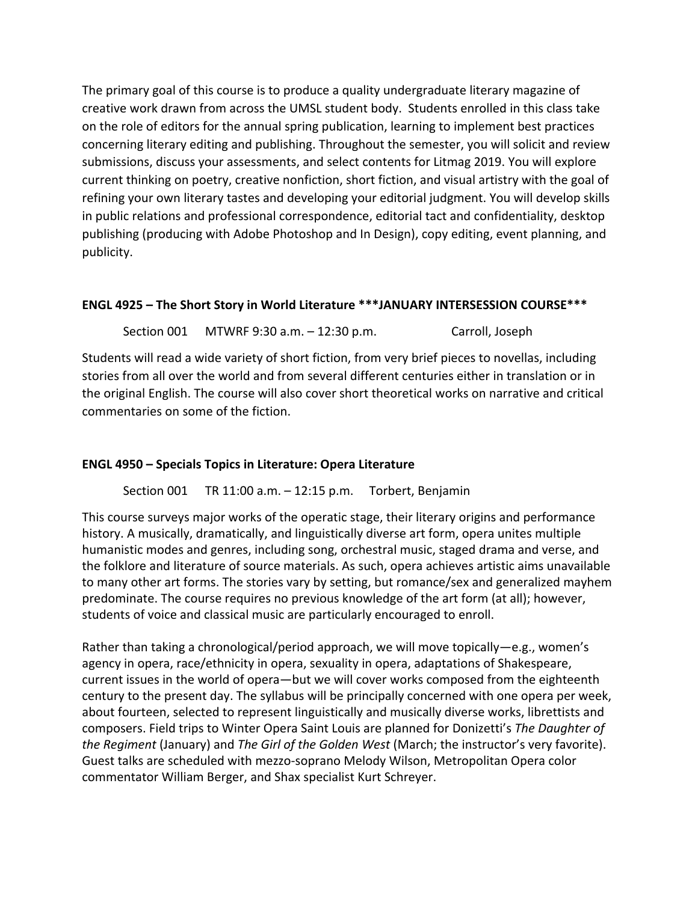The primary goal of this course is to produce a quality undergraduate literary magazine of creative work drawn from across the UMSL student body. Students enrolled in this class take on the role of editors for the annual spring publication, learning to implement best practices concerning literary editing and publishing. Throughout the semester, you will solicit and review submissions, discuss your assessments, and select contents for Litmag 2019. You will explore current thinking on poetry, creative nonfiction, short fiction, and visual artistry with the goal of refining your own literary tastes and developing your editorial judgment. You will develop skills in public relations and professional correspondence, editorial tact and confidentiality, desktop publishing (producing with Adobe Photoshop and In Design), copy editing, event planning, and publicity.

# **ENGL 4925 – The Short Story in World Literature \*\*\*JANUARY INTERSESSION COURSE\*\*\***

Section 001 MTWRF 9:30 a.m. - 12:30 p.m. Carroll, Joseph

Students will read a wide variety of short fiction, from very brief pieces to novellas, including stories from all over the world and from several different centuries either in translation or in the original English. The course will also cover short theoretical works on narrative and critical commentaries on some of the fiction.

# **ENGL 4950 – Specials Topics in Literature: Opera Literature**

Section 001 TR 11:00 a.m. – 12:15 p.m. Torbert, Benjamin

This course surveys major works of the operatic stage, their literary origins and performance history. A musically, dramatically, and linguistically diverse art form, opera unites multiple humanistic modes and genres, including song, orchestral music, staged drama and verse, and the folklore and literature of source materials. As such, opera achieves artistic aims unavailable to many other art forms. The stories vary by setting, but romance/sex and generalized mayhem predominate. The course requires no previous knowledge of the art form (at all); however, students of voice and classical music are particularly encouraged to enroll.

Rather than taking a chronological/period approach, we will move topically—e.g., women's agency in opera, race/ethnicity in opera, sexuality in opera, adaptations of Shakespeare, current issues in the world of opera—but we will cover works composed from the eighteenth century to the present day. The syllabus will be principally concerned with one opera per week, about fourteen, selected to represent linguistically and musically diverse works, librettists and composers. Field trips to Winter Opera Saint Louis are planned for Donizetti's *The Daughter of the Regiment* (January) and *The Girl of the Golden West* (March; the instructor's very favorite). Guest talks are scheduled with mezzo-soprano Melody Wilson, Metropolitan Opera color commentator William Berger, and Shax specialist Kurt Schreyer.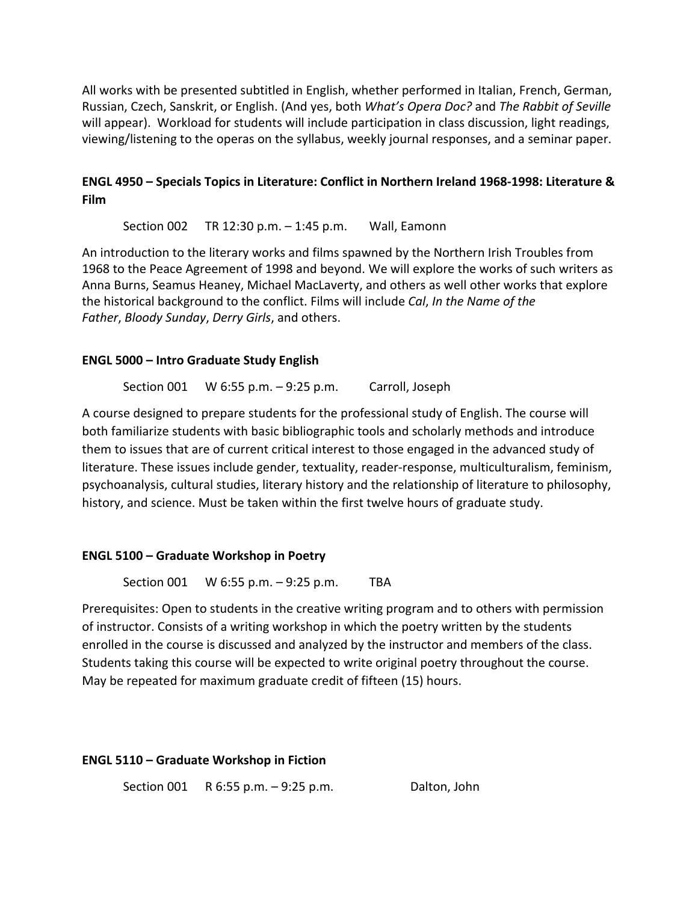All works with be presented subtitled in English, whether performed in Italian, French, German, Russian, Czech, Sanskrit, or English. (And yes, both *What's Opera Doc?* and *The Rabbit of Seville* will appear). Workload for students will include participation in class discussion, light readings, viewing/listening to the operas on the syllabus, weekly journal responses, and a seminar paper.

# **ENGL 4950 – Specials Topics in Literature: Conflict in Northern Ireland 1968-1998: Literature & Film**

Section 002 TR 12:30 p.m. – 1:45 p.m. Wall, Eamonn

An introduction to the literary works and films spawned by the Northern Irish Troubles from 1968 to the Peace Agreement of 1998 and beyond. We will explore the works of such writers as Anna Burns, Seamus Heaney, Michael MacLaverty, and others as well other works that explore the historical background to the conflict. Films will include *Cal*, *In the Name of the Father*, *Bloody Sunday*, *Derry Girls*, and others.

## **ENGL 5000 – Intro Graduate Study English**

Section 001 W 6:55 p.m. – 9:25 p.m. Carroll, Joseph

A course designed to prepare students for the professional study of English. The course will both familiarize students with basic bibliographic tools and scholarly methods and introduce them to issues that are of current critical interest to those engaged in the advanced study of literature. These issues include gender, textuality, reader-response, multiculturalism, feminism, psychoanalysis, cultural studies, literary history and the relationship of literature to philosophy, history, and science. Must be taken within the first twelve hours of graduate study.

## **ENGL 5100 – Graduate Workshop in Poetry**

Section 001 W 6:55 p.m. - 9:25 p.m. TBA

Prerequisites: Open to students in the creative writing program and to others with permission of instructor. Consists of a writing workshop in which the poetry written by the students enrolled in the course is discussed and analyzed by the instructor and members of the class. Students taking this course will be expected to write original poetry throughout the course. May be repeated for maximum graduate credit of fifteen (15) hours.

#### **ENGL 5110 – Graduate Workshop in Fiction**

Section 001 R 6:55 p.m. – 9:25 p.m. Dalton, John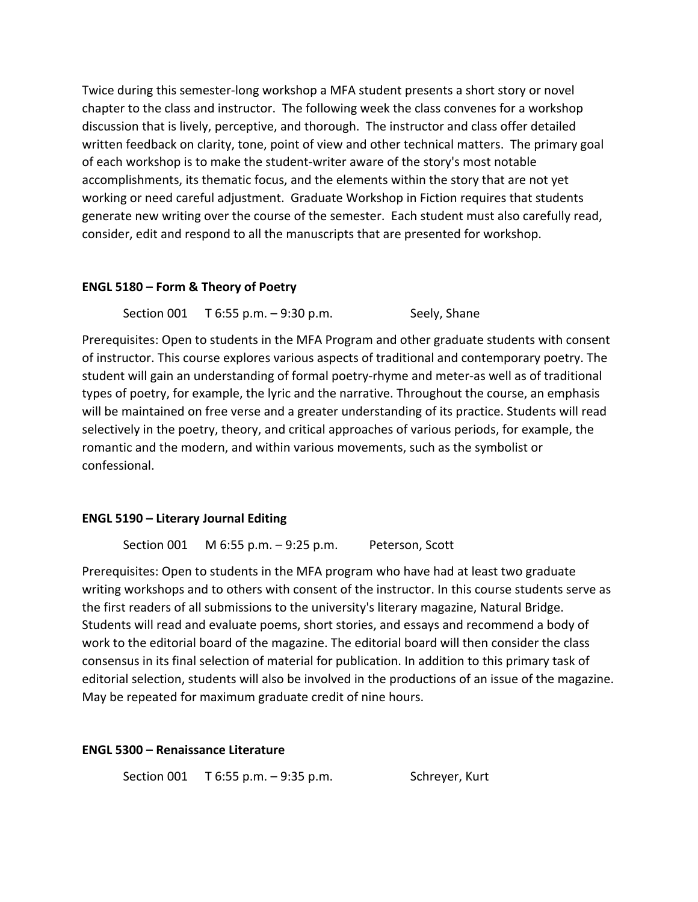Twice during this semester-long workshop a MFA student presents a short story or novel chapter to the class and instructor. The following week the class convenes for a workshop discussion that is lively, perceptive, and thorough. The instructor and class offer detailed written feedback on clarity, tone, point of view and other technical matters. The primary goal of each workshop is to make the student-writer aware of the story's most notable accomplishments, its thematic focus, and the elements within the story that are not yet working or need careful adjustment. Graduate Workshop in Fiction requires that students generate new writing over the course of the semester. Each student must also carefully read, consider, edit and respond to all the manuscripts that are presented for workshop.

## **ENGL 5180 – Form & Theory of Poetry**

Section 001 T 6:55 p.m. - 9:30 p.m. Seely, Shane

Prerequisites: Open to students in the MFA Program and other graduate students with consent of instructor. This course explores various aspects of traditional and contemporary poetry. The student will gain an understanding of formal poetry-rhyme and meter-as well as of traditional types of poetry, for example, the lyric and the narrative. Throughout the course, an emphasis will be maintained on free verse and a greater understanding of its practice. Students will read selectively in the poetry, theory, and critical approaches of various periods, for example, the romantic and the modern, and within various movements, such as the symbolist or confessional.

#### **ENGL 5190 – Literary Journal Editing**

Section 001 M 6:55 p.m. – 9:25 p.m. Peterson, Scott

Prerequisites: Open to students in the MFA program who have had at least two graduate writing workshops and to others with consent of the instructor. In this course students serve as the first readers of all submissions to the university's literary magazine, Natural Bridge. Students will read and evaluate poems, short stories, and essays and recommend a body of work to the editorial board of the magazine. The editorial board will then consider the class consensus in its final selection of material for publication. In addition to this primary task of editorial selection, students will also be involved in the productions of an issue of the magazine. May be repeated for maximum graduate credit of nine hours.

#### **ENGL 5300 – Renaissance Literature**

Section 001 T 6:55 p.m. - 9:35 p.m. Schreyer, Kurt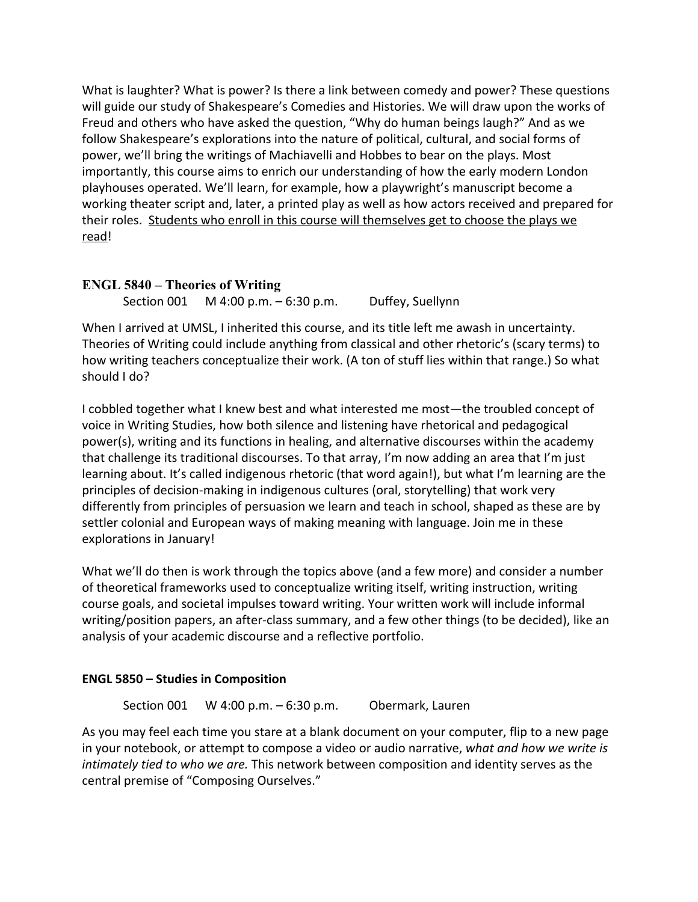What is laughter? What is power? Is there a link between comedy and power? These questions will guide our study of Shakespeare's Comedies and Histories. We will draw upon the works of Freud and others who have asked the question, "Why do human beings laugh?" And as we follow Shakespeare's explorations into the nature of political, cultural, and social forms of power, we'll bring the writings of Machiavelli and Hobbes to bear on the plays. Most importantly, this course aims to enrich our understanding of how the early modern London playhouses operated. We'll learn, for example, how a playwright's manuscript become a working theater script and, later, a printed play as well as how actors received and prepared for their roles. Students who enroll in this course will themselves get to choose the plays we read!

# **ENGL 5840 – Theories of Writing**

Section 001 M 4:00 p.m. – 6:30 p.m. Duffey, Suellynn

When I arrived at UMSL, I inherited this course, and its title left me awash in uncertainty. Theories of Writing could include anything from classical and other rhetoric's (scary terms) to how writing teachers conceptualize their work. (A ton of stuff lies within that range.) So what should I do?

I cobbled together what I knew best and what interested me most—the troubled concept of voice in Writing Studies, how both silence and listening have rhetorical and pedagogical power(s), writing and its functions in healing, and alternative discourses within the academy that challenge its traditional discourses. To that array, I'm now adding an area that I'm just learning about. It's called indigenous rhetoric (that word again!), but what I'm learning are the principles of decision-making in indigenous cultures (oral, storytelling) that work very differently from principles of persuasion we learn and teach in school, shaped as these are by settler colonial and European ways of making meaning with language. Join me in these explorations in January!

What we'll do then is work through the topics above (and a few more) and consider a number of theoretical frameworks used to conceptualize writing itself, writing instruction, writing course goals, and societal impulses toward writing. Your written work will include informal writing/position papers, an after-class summary, and a few other things (to be decided), like an analysis of your academic discourse and a reflective portfolio.

# **ENGL 5850 – Studies in Composition**

Section 001 W 4:00 p.m. – 6:30 p.m. Obermark, Lauren

As you may feel each time you stare at a blank document on your computer, flip to a new page in your notebook, or attempt to compose a video or audio narrative, *what and how we write is intimately tied to who we are.* This network between composition and identity serves as the central premise of "Composing Ourselves."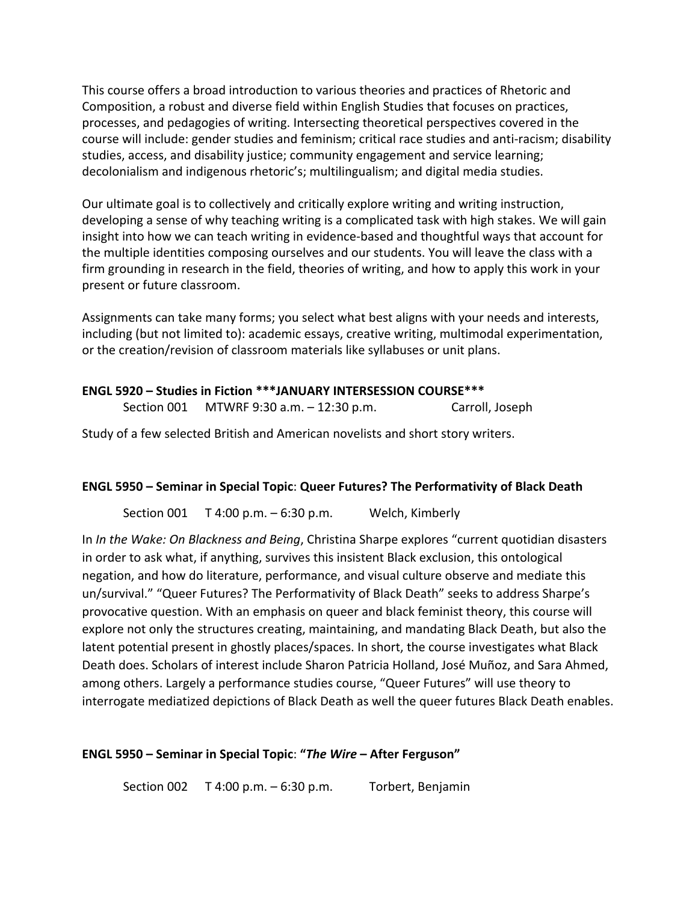This course offers a broad introduction to various theories and practices of Rhetoric and Composition, a robust and diverse field within English Studies that focuses on practices, processes, and pedagogies of writing. Intersecting theoretical perspectives covered in the course will include: gender studies and feminism; critical race studies and anti-racism; disability studies, access, and disability justice; community engagement and service learning; decolonialism and indigenous rhetoric's; multilingualism; and digital media studies.

Our ultimate goal is to collectively and critically explore writing and writing instruction, developing a sense of why teaching writing is a complicated task with high stakes. We will gain insight into how we can teach writing in evidence-based and thoughtful ways that account for the multiple identities composing ourselves and our students. You will leave the class with a firm grounding in research in the field, theories of writing, and how to apply this work in your present or future classroom.

Assignments can take many forms; you select what best aligns with your needs and interests, including (but not limited to): academic essays, creative writing, multimodal experimentation, or the creation/revision of classroom materials like syllabuses or unit plans.

# **ENGL 5920 – Studies in Fiction \*\*\*JANUARY INTERSESSION COURSE\*\*\*** Section 001 MTWRF 9:30 a.m. - 12:30 p.m. Carroll, Joseph

Study of a few selected British and American novelists and short story writers.

# **ENGL 5950 – Seminar in Special Topic**: **Queer Futures? The Performativity of Black Death**

Section 001 T 4:00 p.m. – 6:30 p.m. Welch, Kimberly

In *In the Wake: On Blackness and Being*, Christina Sharpe explores "current quotidian disasters in order to ask what, if anything, survives this insistent Black exclusion, this ontological negation, and how do literature, performance, and visual culture observe and mediate this un/survival." "Queer Futures? The Performativity of Black Death" seeks to address Sharpe's provocative question. With an emphasis on queer and black feminist theory, this course will explore not only the structures creating, maintaining, and mandating Black Death, but also the latent potential present in ghostly places/spaces. In short, the course investigates what Black Death does. Scholars of interest include Sharon Patricia Holland, José Muñoz, and Sara Ahmed, among others. Largely a performance studies course, "Queer Futures" will use theory to interrogate mediatized depictions of Black Death as well the queer futures Black Death enables.

# **ENGL 5950 – Seminar in Special Topic**: **"***The Wire* **– After Ferguson"**

Section 002 T 4:00 p.m. – 6:30 p.m. Torbert, Benjamin